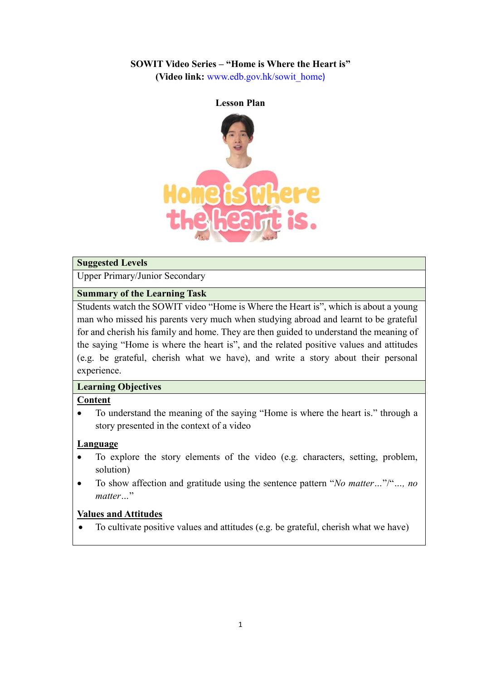### **SOWIT Video Series – "Home is Where the Heart is"**

**(Video link:** [www.edb.gov.hk/sowit\\_home](http://www.edb.gov.hk/sowit_home))



#### **Suggested Levels**

Upper Primary/Junior Secondary

#### **Summary of the Learning Task**

Students watch the SOWIT video "Home is Where the Heart is", which is about a young man who missed his parents very much when studying abroad and learnt to be grateful for and cherish his family and home. They are then guided to understand the meaning of the saying "Home is where the heart is", and the related positive values and attitudes (e.g. be grateful, cherish what we have), and write a story about their personal experience.

#### **Learning Objectives**

#### **Content**

 To understand the meaning of the saying "Home is where the heart is." through a story presented in the context of a video

### **Language**

- To explore the story elements of the video (e.g. characters, setting, problem, solution)
- To show affection and gratitude using the sentence pattern "*No matter…*"/"*…, no matter…*"

### **Values and Attitudes**

To cultivate positive values and attitudes (e.g. be grateful, cherish what we have)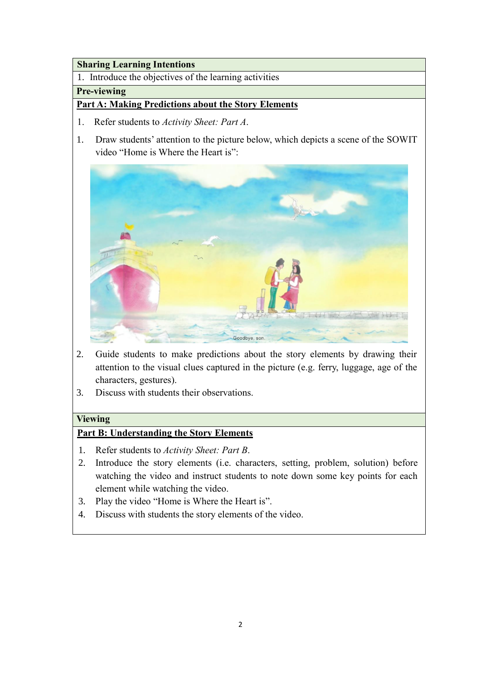### **Sharing Learning Intentions**

1. Introduce the objectives of the learning activities

## **Pre-viewing**

# **Part A: Making Predictions about the Story Elements**

- 1. Refer students to *Activity Sheet: Part A*.
- 1. Draw students' attention to the picture below, which depicts a scene of the SOWIT video "Home is Where the Heart is":



- 2. Guide students to make predictions about the story elements by drawing their attention to the visual clues captured in the picture (e.g. ferry, luggage, age of the characters, gestures).
- 3. Discuss with students their observations.

# **Viewing**

# **Part B: Understanding the Story Elements**

- 1. Refer students to *Activity Sheet: Part B*.
- 2. Introduce the story elements (i.e. characters, setting, problem, solution) before watching the video and instruct students to note down some key points for each element while watching the video.
- 3. Play the video "Home is Where the Heart is".
- 4. Discuss with students the story elements of the video.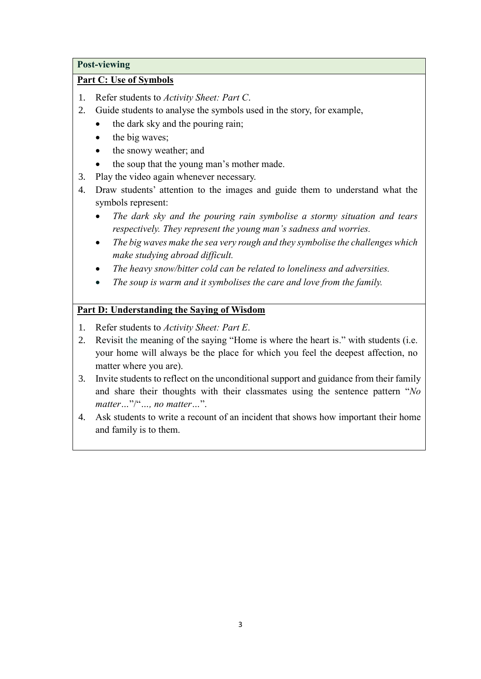#### **Post-viewing**

### **Part C: Use of Symbols**

- 1. Refer students to *Activity Sheet: Part C*.
- 2. Guide students to analyse the symbols used in the story, for example,
	- $\bullet$  the dark sky and the pouring rain;
	- $\bullet$  the big waves;
	- the snowy weather; and
	- the soup that the young man's mother made.
- 3. Play the video again whenever necessary.
- 4. Draw students' attention to the images and guide them to understand what the symbols represent:
	- *The dark sky and the pouring rain symbolise a stormy situation and tears respectively. They represent the young man's sadness and worries.*
	- *The big waves make the sea very rough and they symbolise the challenges which make studying abroad difficult.*
	- *The heavy snow/bitter cold can be related to loneliness and adversities.*
	- *The soup is warm and it symbolises the care and love from the family.*

# **Part D: Understanding the Saying of Wisdom**

- 1. Refer students to *Activity Sheet: Part E*.
- 2. Revisit the meaning of the saying "Home is where the heart is." with students (i.e. your home will always be the place for which you feel the deepest affection, no matter where you are).
- 3. Invite students to reflect on the unconditional support and guidance from their family and share their thoughts with their classmates using the sentence pattern "*No matter…*"/"*…, no matter…*".
- 4. Ask students to write a recount of an incident that shows how important their home and family is to them.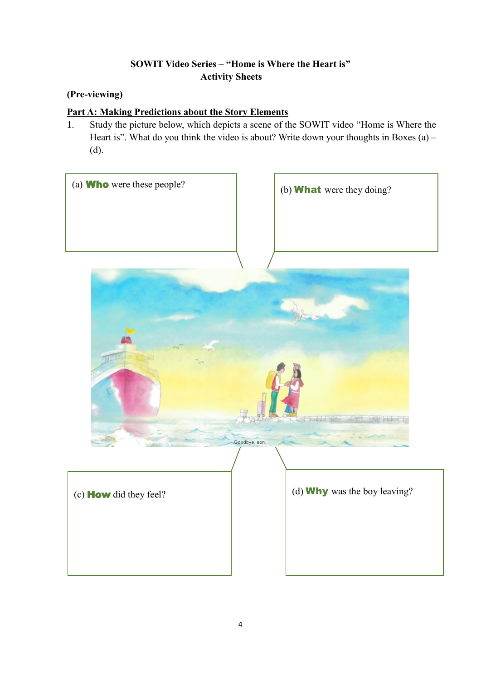# **SOWIT Video Series – "Home is Where the Heart is" Activity Sheets**

# **(Pre-viewing)**

# **Part A: Making Predictions about the Story Elements**

1. Study the picture below, which depicts a scene of the SOWIT video "Home is Where the Heart is". What do you think the video is about? Write down your thoughts in Boxes (a) – (d).

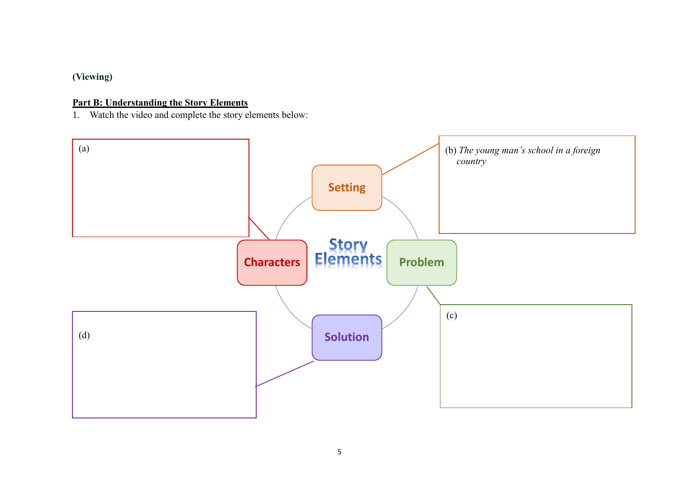# **(Viewing)**

### **Part B: Understanding the Story Elements**

1. Watch the video and complete the story elements below:

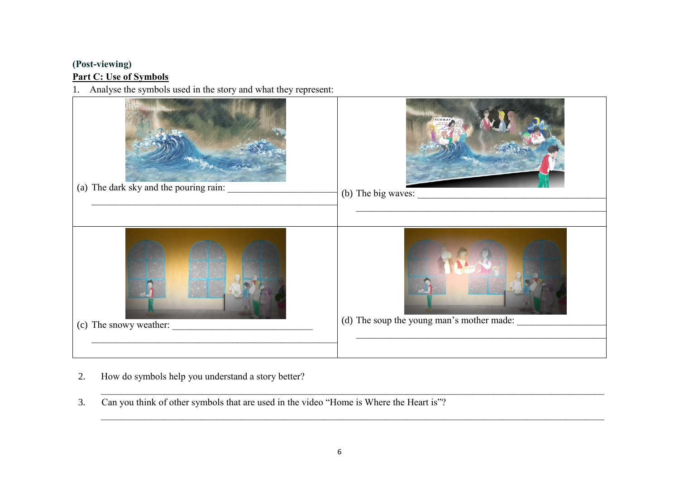## **(Post-viewing) Part C: Use of Symbols**

1. Analyse the symbols used in the story and what they represent:



- 2. How do symbols help you understand a story better?
- 3. Can you think of other symbols that are used in the video "Home is Where the Heart is"?

 $\_$  , and the contribution of the contribution of the contribution of the contribution of the contribution of the contribution of the contribution of the contribution of the contribution of the contribution of the contrib

 $\_$  , and the contribution of the contribution of the contribution of the contribution of the contribution of the contribution of the contribution of the contribution of the contribution of the contribution of the contrib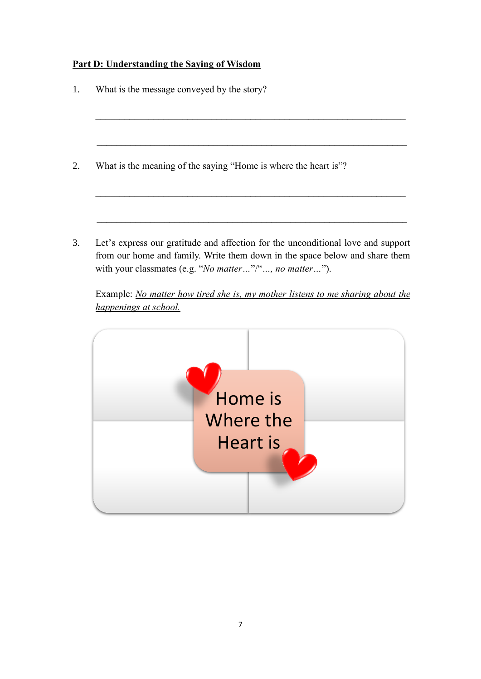# **Part D: Understanding the Saying of Wisdom**

| What is the meaning of the saying "Home is where the heart is"? |  |  |
|-----------------------------------------------------------------|--|--|
|                                                                 |  |  |
|                                                                 |  |  |

Example: *No matter how tired she is, my mother listens to me sharing about the happenings at school.*

with your classmates (e.g. "*No matter…*"/"*…, no matter…*").

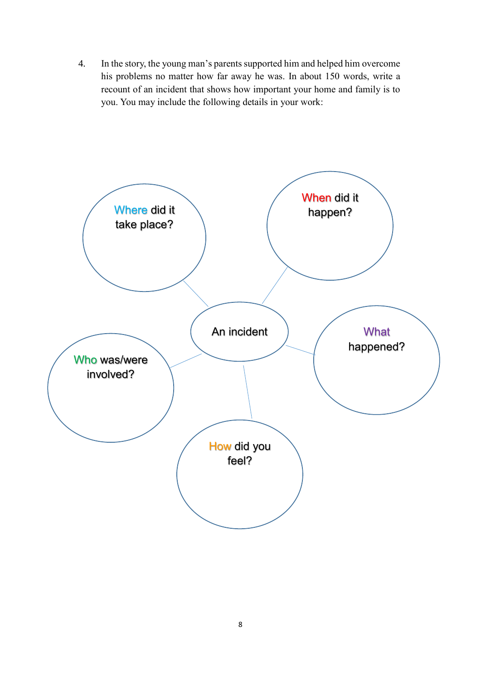4. In the story, the young man's parents supported him and helped him overcome his problems no matter how far away he was. In about 150 words, write a recount of an incident that shows how important your home and family is to you. You may include the following details in your work: